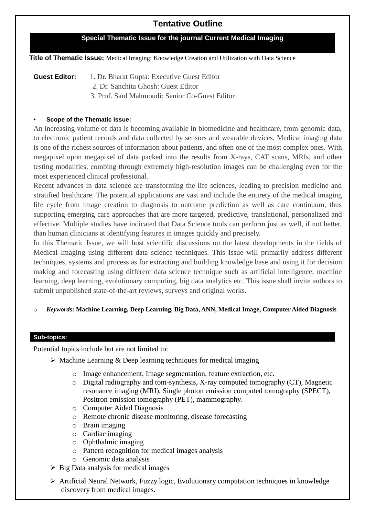# **Tentative Outline**

### **Special Thematic Issue for the journal Current Medical Imaging**

**Title of Thematic Issue:** Medical Imaging: Knowledge Creation and Utilization with Data Science

**Guest Editor:** 1. Dr. Bharat Gupta: Executive Guest Editor 2. Dr. Sanchita Ghosh: Guest Editor

3. Prof. Saïd Mahmoudi: Senior Co-Guest Editor

#### **• Scope of the Thematic Issue:**

An increasing volume of data is becoming available in biomedicine and healthcare, from genomic data, to electronic patient records and data collected by sensors and wearable devices. Medical imaging data is one of the richest sources of information about patients, and often one of the most complex ones. With megapixel upon megapixel of data packed into the results from X-rays, CAT scans, MRIs, and other testing modalities, combing through extremely high-resolution images can be challenging even for the most experienced clinical professional.

Recent advances in data science are transforming the life sciences, leading to precision medicine and stratified healthcare. The potential applications are vast and include the entirety of the medical imaging life cycle from image creation to diagnosis to outcome prediction as well as care continuum, thus supporting emerging care approaches that are more targeted, predictive, translational, personalized and effective. Multiple studies have indicated that Data Science tools can perform just as well, if not better, than human clinicians at identifying features in images quickly and precisely.

In this Thematic Issue, we will host scientific discussions on the latest developments in the fields of Medical Imaging using different data science techniques. This Issue will primarily address different techniques, systems and process as for extracting and building knowledge base and using it for decision making and forecasting using different data science technique such as artificial intelligence, machine learning, deep learning, evolutionary computing, big data analytics etc. This issue shall invite authors to submit unpublished state-of-the-art reviews, surveys and original works.

#### o *Keywords***: Machine Learning, Deep Learning, Big Data, ANN, Medical Image, Computer Aided Diagnosis**

#### **Sub-topics:**

Potential topics include but are not limited to:

- $\triangleright$  Machine Learning & Deep learning techniques for medical imaging
	- o Image enhancement, Image segmentation, feature extraction, etc.
	- $\circ$  Digital radiography and tom-synthesis, X-ray computed tomography (CT), Magnetic resonance imaging (MRI), Single photon emission computed tomography (SPECT), Positron emission tomography (PET), mammography.
	- o Computer Aided Diagnosis
	- o Remote chronic disease monitoring, disease forecasting
	- o Brain imaging
	- o Cardiac imaging
	- o Ophthalmic imaging
	- o Pattern recognition for medical images analysis
	- o Genomic data analysis
- $\triangleright$  Big Data analysis for medical images
- Artificial Neural Network, Fuzzy logic, Evolutionary computation techniques in knowledge discovery from medical images.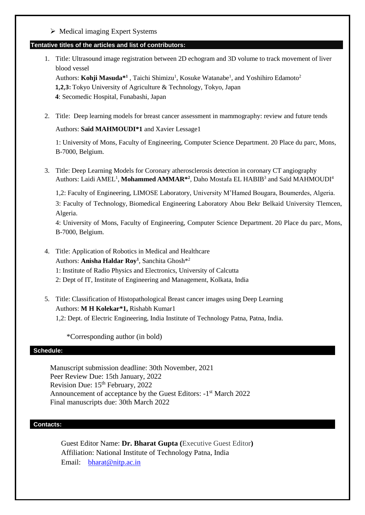$\triangleright$  Medical imaging Expert Systems

#### **Tentative titles of the articles and list of contributors:**

- 1. Title: Ultrasound image registration between 2D echogram and 3D volume to track movement of liver blood vessel Authors: Kohji Masuda<sup>\*1</sup>, Taichi Shimizu<sup>1</sup>, Kosuke Watanabe<sup>1</sup>, and Yoshihiro Edamoto<sup>2</sup> **1,2,3:** Tokyo University of Agriculture & Technology, Tokyo, Japan **4**: Secomedic Hospital, Funabashi, Japan
- 2. Title: Deep learning models for breast cancer assessment in mammography: review and future tends

#### Authors: **Saïd MAHMOUDI\*1** and Xavier Lessage1

1: University of Mons, Faculty of Engineering, Computer Science Department. 20 Place du parc, Mons, B-7000, Belgium.

3. Title: Deep Learning Models for Coronary atherosclerosis detection in coronary CT angiography Authors: Laidi AMEL<sup>1</sup>, Mohammed AMMAR<sup>\*2</sup>, Daho Mostafa EL HABIB<sup>3</sup> and Saïd MAHMOUDI<sup>4</sup>

1,2: Faculty of Engineering, LIMOSE Laboratory, University M'Hamed Bougara, Boumerdes, Algeria.

3: Faculty of Technology, Biomedical Engineering Laboratory Abou Bekr Belkaid University Tlemcen, Algeria.

4: University of Mons, Faculty of Engineering, Computer Science Department. 20 Place du parc, Mons, B-7000, Belgium.

- 4. Title: Application of Robotics in Medical and Healthcare Authors: **Anisha Haldar Roy<sup>1</sup>** , Sanchita Ghosh\*<sup>2</sup> 1: Institute of Radio Physics and Electronics, University of Calcutta 2: Dept of IT, Institute of Engineering and Management, Kolkata, India
- 5. Title: Classification of Histopathological Breast cancer images using Deep Learning Authors: **M H Kolekar\*1,** Rishabh Kumar1 1,2: Dept. of Electric Engineering, India Institute of Technology Patna, Patna, India.

\*Corresponding author (in bold)

#### **Schedule:**

Manuscript submission deadline: 30th November, 2021 Peer Review Due: 15th January, 2022 Revision Due:  $15<sup>th</sup>$  February, 2022 Announcement of acceptance by the Guest Editors: -1<sup>st</sup> March 2022 Final manuscripts due: 30th March 2022

#### **Contacts:**

Guest Editor Name: **Dr. Bharat Gupta (**Executive Guest Editor**)** Affiliation: National Institute of Technology Patna, India Email: [bharat@nitp.ac.in](mailto:bharat@nitp.ac.in)